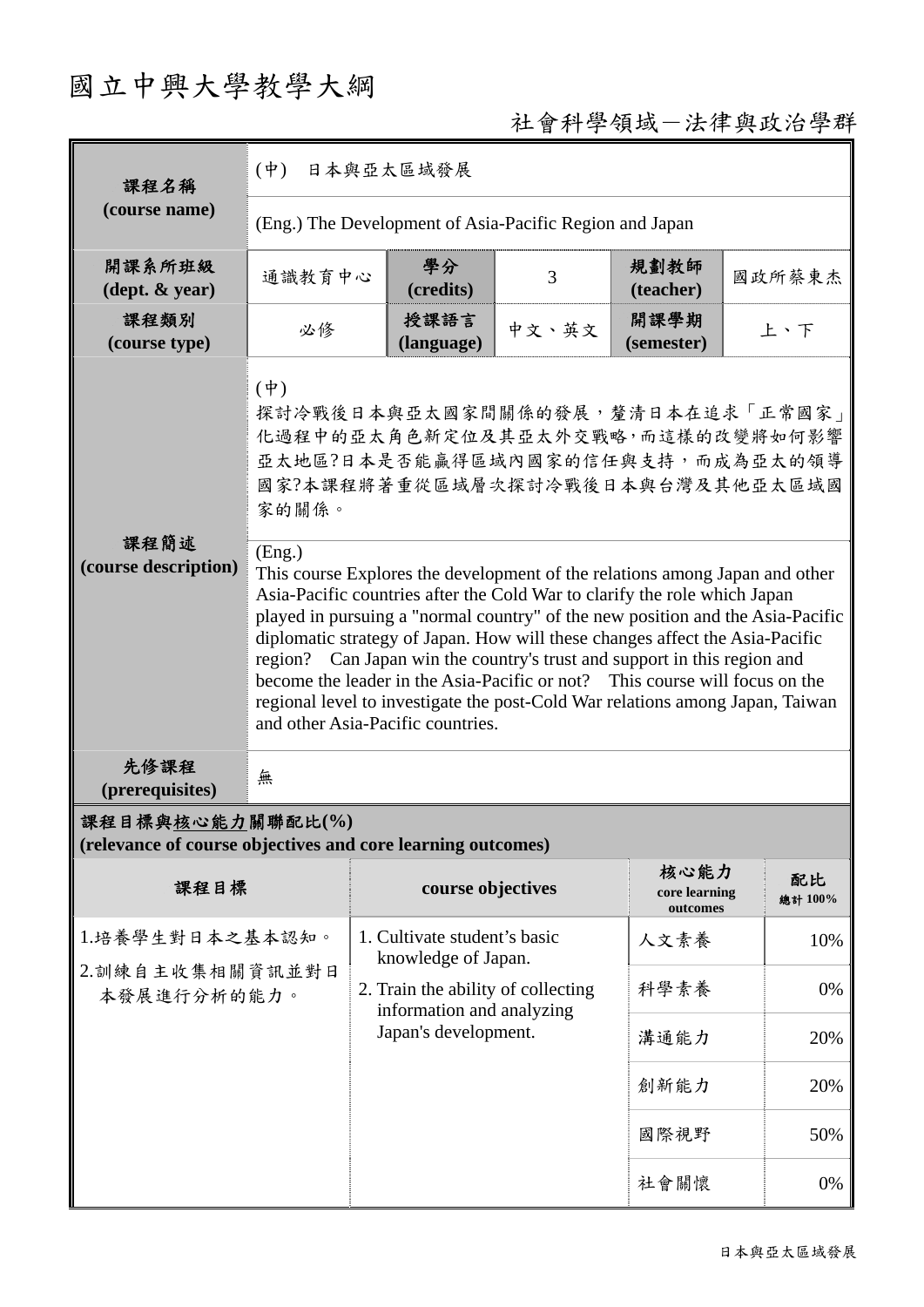# 國立中興大學教學大綱

## 社會科學領域-法律與政治學群

| 課程名稱                                                                            | $(\dot{\Psi})$<br>日本與亞太區域發展                                                                                                                                                                                                                                                                                                                                                                                                                                                                                                                                                                                           |                                                                                                                        |       |                                   |               |  |
|---------------------------------------------------------------------------------|-----------------------------------------------------------------------------------------------------------------------------------------------------------------------------------------------------------------------------------------------------------------------------------------------------------------------------------------------------------------------------------------------------------------------------------------------------------------------------------------------------------------------------------------------------------------------------------------------------------------------|------------------------------------------------------------------------------------------------------------------------|-------|-----------------------------------|---------------|--|
| (course name)                                                                   | (Eng.) The Development of Asia-Pacific Region and Japan                                                                                                                                                                                                                                                                                                                                                                                                                                                                                                                                                               |                                                                                                                        |       |                                   |               |  |
| 開課系所班級<br>$(\text{dept.} \& \text{ year})$                                      | 通識教育中心                                                                                                                                                                                                                                                                                                                                                                                                                                                                                                                                                                                                                | 學分<br>(credits)                                                                                                        | 3     | 規劃教師<br>(teacher)                 | 國政所蔡東杰        |  |
| 課程類別<br>(course type)                                                           | 必修                                                                                                                                                                                                                                                                                                                                                                                                                                                                                                                                                                                                                    | 授課語言<br>(language)                                                                                                     | 中文、英文 | 開課學期<br>(semester)                | 上、下           |  |
| 課程簡述                                                                            | $(\dot{\Psi})$<br>探討冷戰後日本與亞太國家間關係的發展,釐清日本在追求「正常國家」<br>化過程中的亞太角色新定位及其亞太外交戰略,而這樣的改變將如何影響<br>亞太地區?日本是否能贏得區域內國家的信任與支持,而成為亞太的領導<br>國家?本課程將著重從區域層次探討冷戰後日本與台灣及其他亞太區域國<br>家的關係。                                                                                                                                                                                                                                                                                                                                                                                                                                               |                                                                                                                        |       |                                   |               |  |
| (course description)                                                            | (Eng.)<br>This course Explores the development of the relations among Japan and other<br>Asia-Pacific countries after the Cold War to clarify the role which Japan<br>played in pursuing a "normal country" of the new position and the Asia-Pacific<br>diplomatic strategy of Japan. How will these changes affect the Asia-Pacific<br>region? Can Japan win the country's trust and support in this region and<br>become the leader in the Asia-Pacific or not? This course will focus on the<br>regional level to investigate the post-Cold War relations among Japan, Taiwan<br>and other Asia-Pacific countries. |                                                                                                                        |       |                                   |               |  |
| 先修課程<br>(prerequisites)                                                         | 無                                                                                                                                                                                                                                                                                                                                                                                                                                                                                                                                                                                                                     |                                                                                                                        |       |                                   |               |  |
| 課程目標與核心能力關聯配比(%)<br>(relevance of course objectives and core learning outcomes) |                                                                                                                                                                                                                                                                                                                                                                                                                                                                                                                                                                                                                       |                                                                                                                        |       |                                   |               |  |
| 課程目標                                                                            |                                                                                                                                                                                                                                                                                                                                                                                                                                                                                                                                                                                                                       | course objectives                                                                                                      |       | 核心能力<br>core learning<br>outcomes | 配比<br>總計 100% |  |
| 1.培養學生對日本之基本認知。<br>2.訓練自主收集相關資訊並對日<br>本發展進行分析的能力。                               |                                                                                                                                                                                                                                                                                                                                                                                                                                                                                                                                                                                                                       | 1. Cultivate student's basic<br>knowledge of Japan.<br>2. Train the ability of collecting<br>information and analyzing | 人文素養  | 10%                               |               |  |
|                                                                                 |                                                                                                                                                                                                                                                                                                                                                                                                                                                                                                                                                                                                                       |                                                                                                                        | 科學素養  | 0%                                |               |  |
|                                                                                 |                                                                                                                                                                                                                                                                                                                                                                                                                                                                                                                                                                                                                       | Japan's development.                                                                                                   |       | 溝通能力                              | 20%           |  |
|                                                                                 |                                                                                                                                                                                                                                                                                                                                                                                                                                                                                                                                                                                                                       |                                                                                                                        |       | 創新能力                              | 20%           |  |
|                                                                                 |                                                                                                                                                                                                                                                                                                                                                                                                                                                                                                                                                                                                                       |                                                                                                                        |       | 國際視野                              | 50%           |  |
|                                                                                 |                                                                                                                                                                                                                                                                                                                                                                                                                                                                                                                                                                                                                       |                                                                                                                        |       | 社會關懷                              | 0%            |  |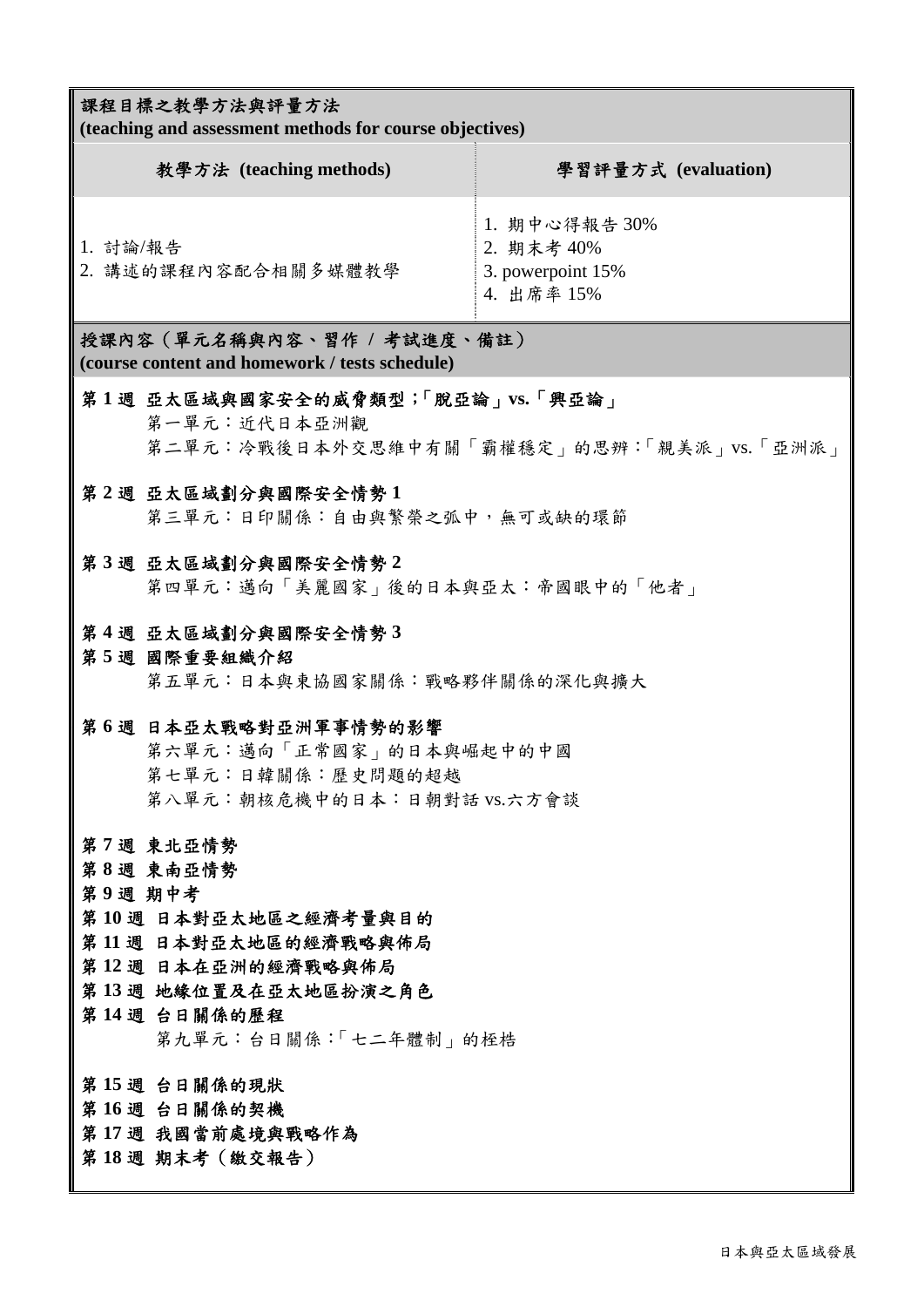### 課程目標之教學方法與評量方法

**(teaching and assessment methods for course objectives)** 

| 教學方法 (teaching methods)         | 學習評量方式 (evaluation)                                            |
|---------------------------------|----------------------------------------------------------------|
| 1. 討論/報告<br>2. 講述的課程內容配合相關多媒體教學 | 1. 期中心得報告 30%<br>2. 期末考 40%<br>3. powerpoint 15%<br>4. 出席率 15% |

授課內容(單元名稱與內容、習作 **/** 考試進度、備註) **(course content and homework / tests schedule)** 

### 第 **1** 週 亞太區域與國家安全的威脅類型;「脫亞論」**vs.**「興亞論」

第一單元:近代日本亞洲觀 第二單元:冷戰後日本外交思維中有關「霸權穩定」的思辨:「親美派」vs.「亞洲派」

### 第 **2** 週 亞太區域劃分與國際安全情勢 **1**

第三單元:日印關係:自由與繁榮之弧中,無可或缺的環節

### 第 **3** 週 亞太區域劃分與國際安全情勢 **2**

第四單元:邁向「美麗國家」後的日本與亞太:帝國眼中的「他者」

### 第 **4** 週 亞太區域劃分與國際安全情勢 **3**

### 第 **5** 週 國際重要組織介紹 第五單元:日本與東協國家關係:戰略夥伴關係的深化與擴大

### 第 **6** 週 日本亞太戰略對亞洲軍事情勢的影響

第六單元:邁向「正常國家」的日本與崛起中的中國 第七單元:日韓關係:歷史問題的超越 第八單元:朝核危機中的日本:日朝對話 vs.六方會談

- 第 **7** 週 東北亞情勢
- 第 **8** 週 東南亞情勢

### 第 **9** 週 期中考

- 第 **10** 週 日本對亞太地區之經濟考量與目的
- 第 **11** 週 日本對亞太地區的經濟戰略與佈局
- 第 **12** 週 日本在亞洲的經濟戰略與佈局
- 第 **13** 週 地緣位置及在亞太地區扮演之角色

### 第 **14** 週 台日關係的歷程

第九單元:台日關係:「七二年體制」的桎梏

- 第 **15** 週 台日關係的現狀
- 第 **16** 週 台日關係的契機

### 第 **17** 週 我國當前處境與戰略作為

### 第 **18** 週 期末考(繳交報告)